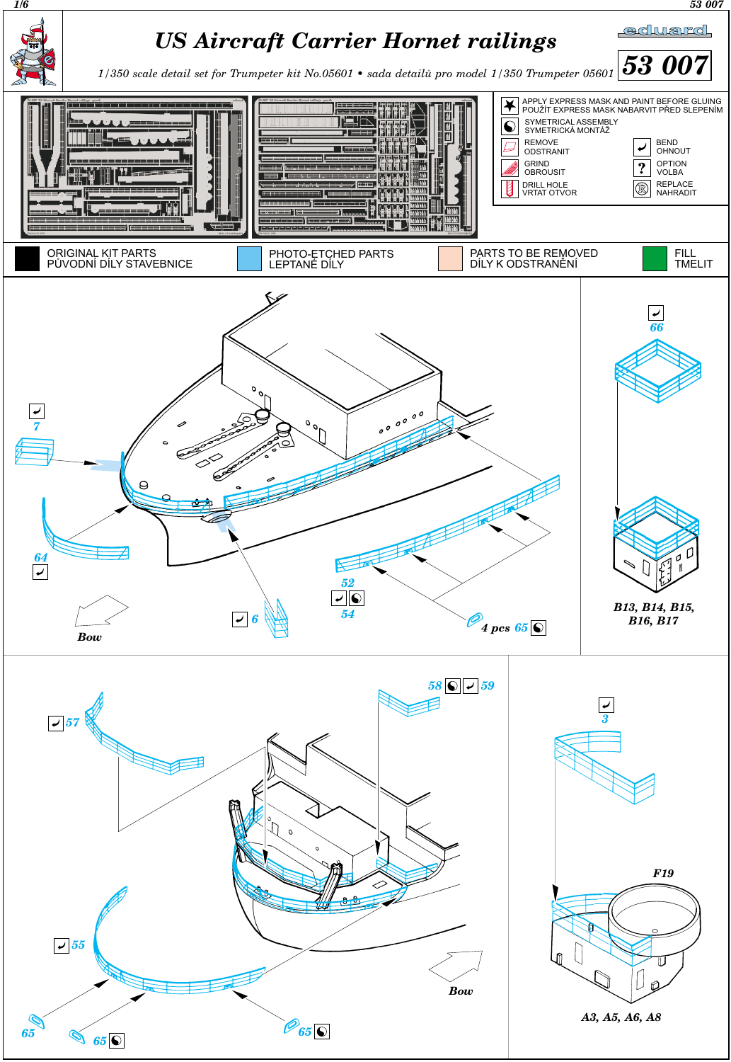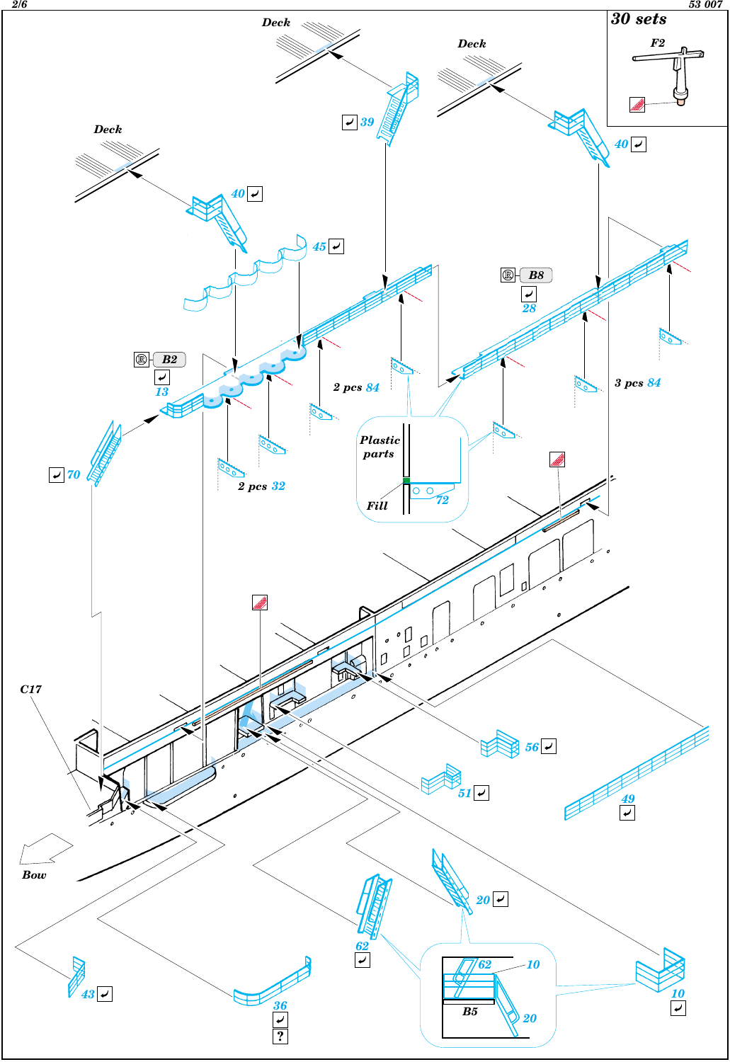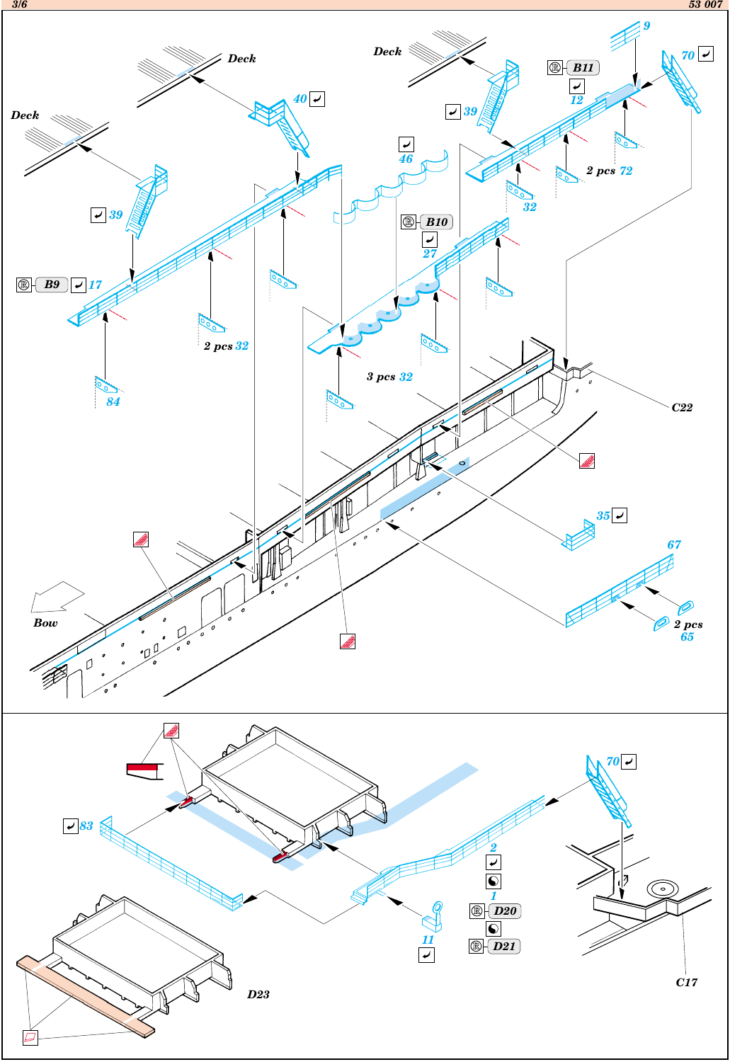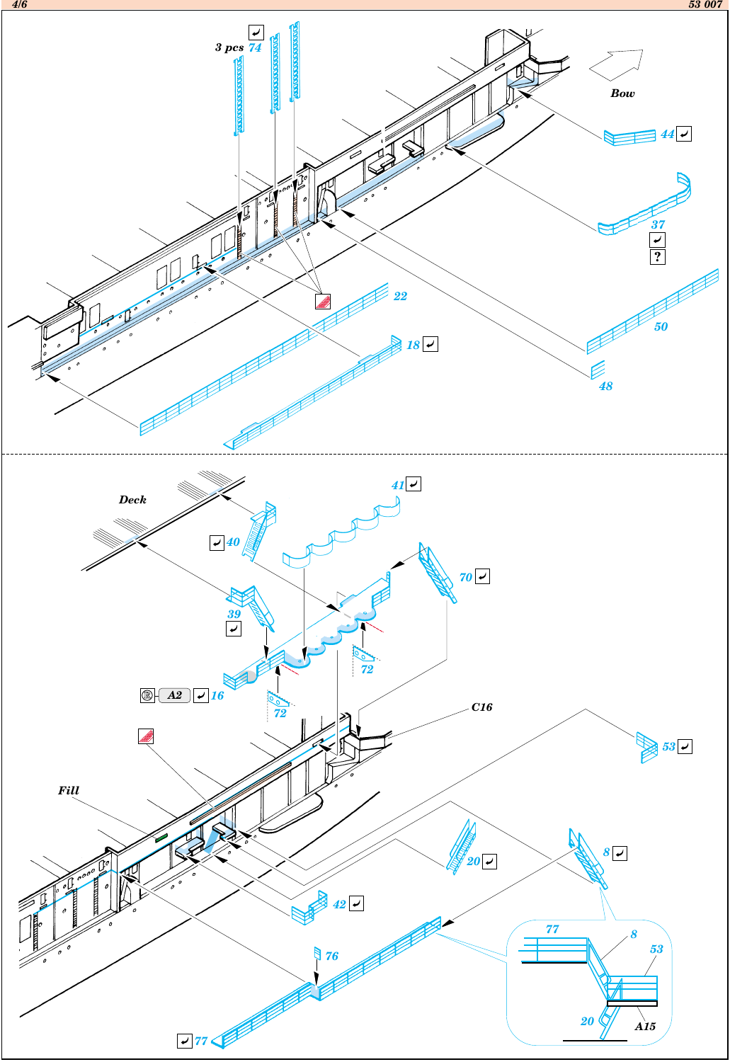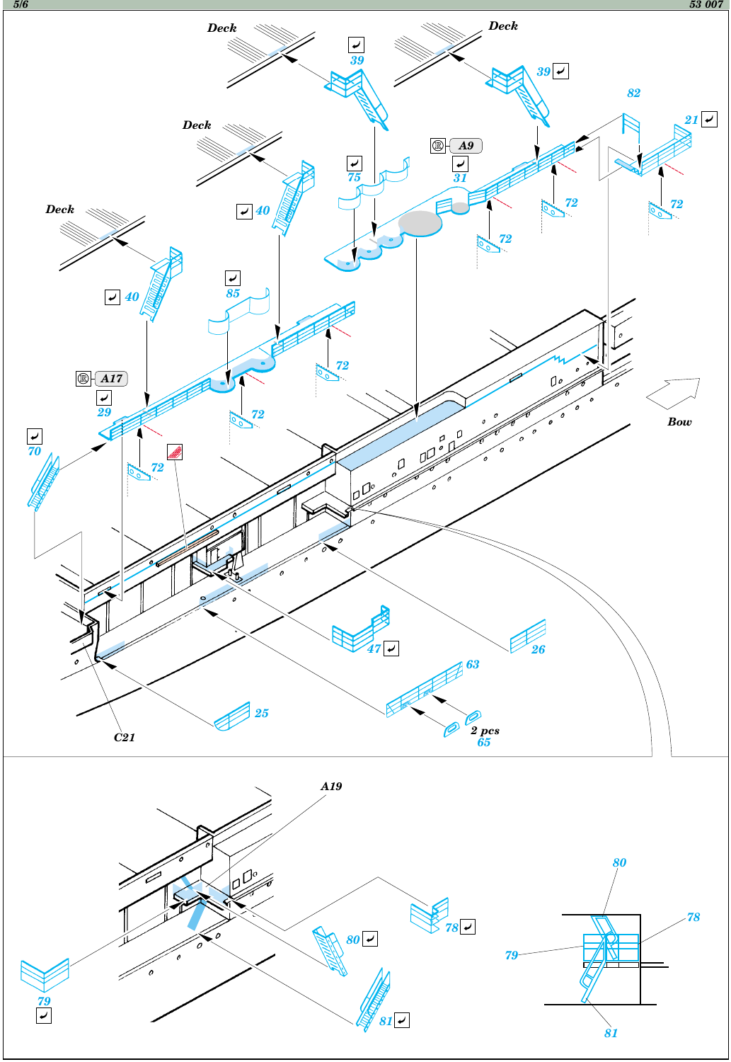